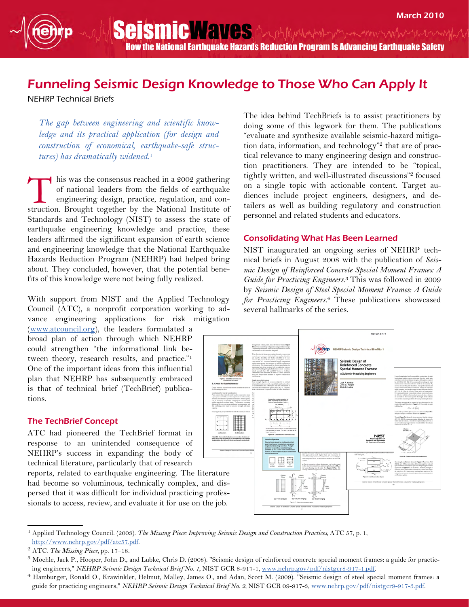Seismic Mances Anti-Municipaline and the material How the National Earthquake Hazards Reduction Program Is Advancing Earthquake Safety

# Funneling Seismic Design Knowledge to Those Who Can Apply It

NEHRP Technical Briefs

The gap between engineering and scientific knowledge and its practical application (for design and construction of economical, earthquake-safe structures) has dramatically widened.<sup>1</sup>

his was the consensus reached in a 2002 gathering of national leaders from the fields of earthquake engineering design, practice, regulation, and construction. Brought together by the National Institute of Standards and Technology (NIST) to assess the state of earthquake engineering knowledge and practice, these leaders affirmed the significant expansion of earth science and engineering knowledge that the National Earthquake Hazards Reduction Program (NEHRP) had helped bring about. They concluded, however, that the potential benefits of this knowledge were not being fully realized. T

With support from NIST and the Applied Technology Council (ATC), a nonprofit corporation working to advance engineering applications for risk mitigation

(www.atcouncil.org), the leaders formulated a broad plan of action through which NEHRP could strengthen "the informational link between theory, research results, and practice."<sup>1</sup> One of the important ideas from this influential plan that NEHRP has subsequently embraced is that of technical brief (TechBrief) publications.

# The TechBrief Concept

ATC had pioneered the TechBrief format in response to an unintended consequence of NEHRP's success in expanding the body of technical literature, particularly that of research

reports, related to earthquake engineering. The literature had become so voluminous, technically complex, and dispersed that it was difficult for individual practicing professionals to access, review, and evaluate it for use on the job.

The idea behind TechBriefs is to assist practitioners by doing some of this legwork for them. The publications "evaluate and synthesize available seismic-hazard mitigation data, information, and technology"2 that are of practical relevance to many engineering design and construction practitioners. They are intended to be "topical, tightly written, and well-illustrated discussions"2 focused on a single topic with actionable content. Target audiences include project engineers, designers, and detailers as well as building regulatory and construction personnel and related students and educators.

## Consolidating What Has Been Learned

NIST inaugurated an ongoing series of NEHRP technical briefs in August 2008 with the publication of Seismic Design of Reinforced Concrete Special Moment Frames: A Guide for Practicing Engineers.<sup>3</sup> This was followed in 2009 by Seismic Design of Steel Special Moment Frames: A Guide for Practicing Engineers.<sup>4</sup> These publications showcased several hallmarks of the series.



<sup>&</sup>lt;sup>1</sup> Applied Technology Council. (2003). The Missing Piece: Improving Seismic Design and Construction Practices, ATC 57, p. 1, http://www.nehrp.gov/pdf/atc57.pdf.

 $2$  ATC. The Missing Piece, pp. 17–18.

 $3$  Moehle, Jack P., Hooper, John D., and Lubke, Chris D. (2008). "Seismic design of reinforced concrete special moment frames: a guide for practicing engineers," NEHRP Seismic Design Technical Brief No. 1, NIST GCR 8-917-1, www.nehrp.gov/pdf/nistgcr8-917-1.pdf.

<sup>&</sup>lt;sup>4</sup> Hamburger, Ronald O., Krawinkler, Helmut, Malley, James O., and Adan, Scott M. (2009). "Seismic design of steel special moment frames: a guide for practicing engineers," NEHRP Seismic Design Technical Brief No. 2, NIST GCR 09-917-3, www.nehrp.gov/pdf/nistgcr9-917-3.pdf.